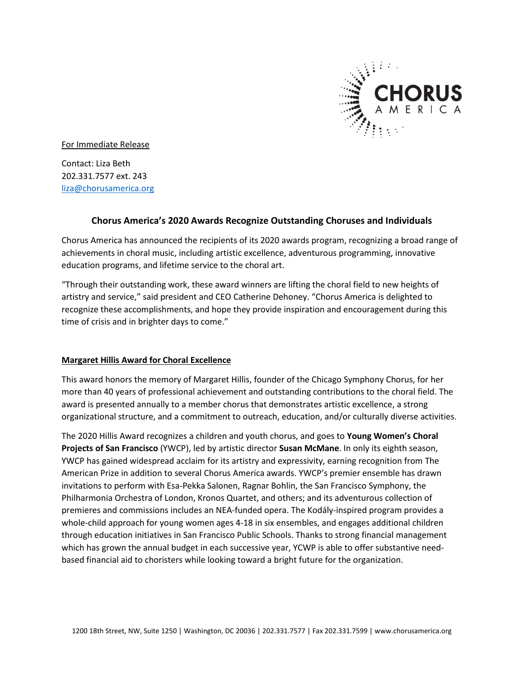

For Immediate Release

Contact: Liza Beth 202.331.7577 ext. 243 [liza@chorusamerica.org](mailto:liza@chorusamerica.org)

# **Chorus America's 2020 Awards Recognize Outstanding Choruses and Individuals**

Chorus America has announced the recipients of its 2020 awards program, recognizing a broad range of achievements in choral music, including artistic excellence, adventurous programming, innovative education programs, and lifetime service to the choral art.

"Through their outstanding work, these award winners are lifting the choral field to new heights of artistry and service," said president and CEO Catherine Dehoney. "Chorus America is delighted to recognize these accomplishments, and hope they provide inspiration and encouragement during this time of crisis and in brighter days to come."

### **Margaret Hillis Award for Choral Excellence**

This award honors the memory of Margaret Hillis, founder of the Chicago Symphony Chorus, for her more than 40 years of professional achievement and outstanding contributions to the choral field. The award is presented annually to a member chorus that demonstrates artistic excellence, a strong organizational structure, and a commitment to outreach, education, and/or culturally diverse activities.

The 2020 Hillis Award recognizes a children and youth chorus, and goes to **Young Women's Choral Projects of San Francisco** (YWCP), led by artistic director **Susan McMane**. In only its eighth season, YWCP has gained widespread acclaim for its artistry and expressivity, earning recognition from The American Prize in addition to several Chorus America awards. YWCP's premier ensemble has drawn invitations to perform with Esa-Pekka Salonen, Ragnar Bohlin, the San Francisco Symphony, the Philharmonia Orchestra of London, Kronos Quartet, and others; and its adventurous collection of premieres and commissions includes an NEA-funded opera. The Kodály-inspired program provides a whole-child approach for young women ages 4-18 in six ensembles, and engages additional children through education initiatives in San Francisco Public Schools. Thanks to strong financial management which has grown the annual budget in each successive year, YCWP is able to offer substantive needbased financial aid to choristers while looking toward a bright future for the organization.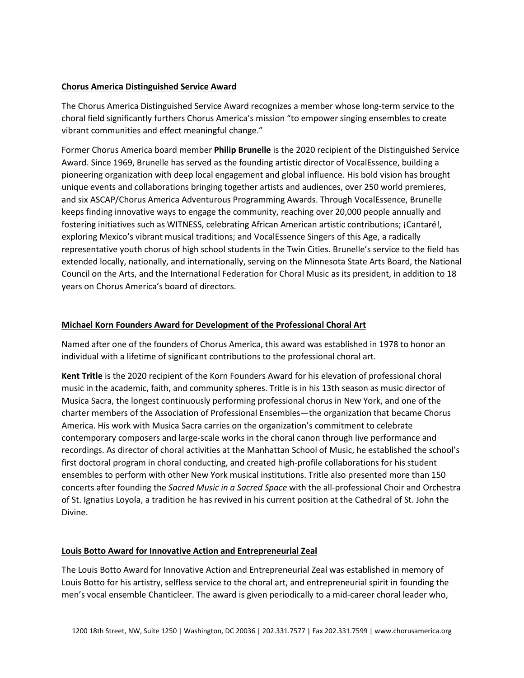## **Chorus America Distinguished Service Award**

The Chorus America Distinguished Service Award recognizes a member whose long-term service to the choral field significantly furthers Chorus America's mission "to empower singing ensembles to create vibrant communities and effect meaningful change."

Former Chorus America board member **Philip Brunelle** is the 2020 recipient of the Distinguished Service Award. Since 1969, Brunelle has served as the founding artistic director of VocalEssence, building a pioneering organization with deep local engagement and global influence. His bold vision has brought unique events and collaborations bringing together artists and audiences, over 250 world premieres, and six ASCAP/Chorus America Adventurous Programming Awards. Through VocalEssence, Brunelle keeps finding innovative ways to engage the community, reaching over 20,000 people annually and fostering initiatives such as WITNESS, celebrating African American artistic contributions; ¡Cantaré!, exploring Mexico's vibrant musical traditions; and VocalEssence Singers of this Age, a radically representative youth chorus of high school students in the Twin Cities. Brunelle's service to the field has extended locally, nationally, and internationally, serving on the Minnesota State Arts Board, the National Council on the Arts, and the International Federation for Choral Music as its president, in addition to 18 years on Chorus America's board of directors.

# **Michael Korn Founders Award for Development of the Professional Choral Art**

Named after one of the founders of Chorus America, this award was established in 1978 to honor an individual with a lifetime of significant contributions to the professional choral art.

**Kent Tritle** is the 2020 recipient of the Korn Founders Award for his elevation of professional choral music in the academic, faith, and community spheres. Tritle is in his 13th season as music director of Musica Sacra, the longest continuously performing professional chorus in New York, and one of the charter members of the Association of Professional Ensembles—the organization that became Chorus America. His work with Musica Sacra carries on the organization's commitment to celebrate contemporary composers and large-scale works in the choral canon through live performance and recordings. As director of choral activities at the Manhattan School of Music, he established the school's first doctoral program in choral conducting, and created high-profile collaborations for his student ensembles to perform with other New York musical institutions. Tritle also presented more than 150 concerts after founding the *Sacred Music in a Sacred Space* with the all-professional Choir and Orchestra of St. Ignatius Loyola, a tradition he has revived in his current position at the Cathedral of St. John the Divine.

### **Louis Botto Award for Innovative Action and Entrepreneurial Zeal**

The Louis Botto Award for Innovative Action and Entrepreneurial Zeal was established in memory of Louis Botto for his artistry, selfless service to the choral art, and entrepreneurial spirit in founding the men's vocal ensemble Chanticleer. The award is given periodically to a mid-career choral leader who,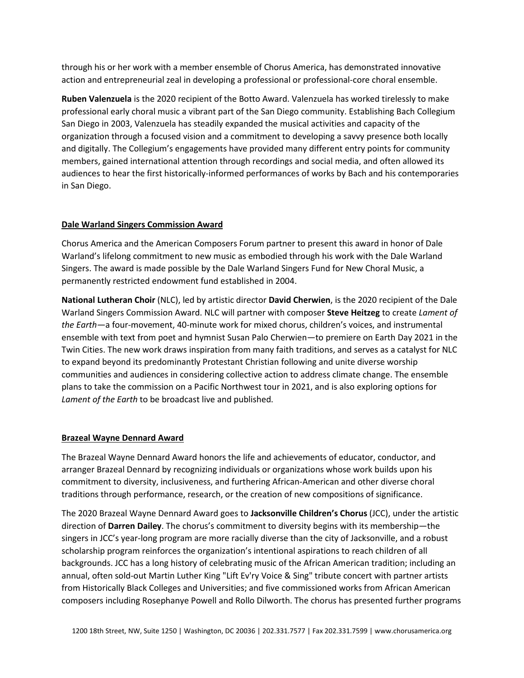through his or her work with a member ensemble of Chorus America, has demonstrated innovative action and entrepreneurial zeal in developing a professional or professional-core choral ensemble.

**Ruben Valenzuela** is the 2020 recipient of the Botto Award. Valenzuela has worked tirelessly to make professional early choral music a vibrant part of the San Diego community. Establishing Bach Collegium San Diego in 2003, Valenzuela has steadily expanded the musical activities and capacity of the organization through a focused vision and a commitment to developing a savvy presence both locally and digitally. The Collegium's engagements have provided many different entry points for community members, gained international attention through recordings and social media, and often allowed its audiences to hear the first historically-informed performances of works by Bach and his contemporaries in San Diego.

### **Dale Warland Singers Commission Award**

Chorus America and the American Composers Forum partner to present this award in honor of Dale Warland's lifelong commitment to new music as embodied through his work with the Dale Warland Singers. The award is made possible by the Dale Warland Singers Fund for New Choral Music, a permanently restricted endowment fund established in 2004.

**National Lutheran Choir** (NLC), led by artistic director **David Cherwien**, is the 2020 recipient of the Dale Warland Singers Commission Award. NLC will partner with composer **Steve Heitzeg** to create *Lament of the Earth—*a four-movement, 40-minute work for mixed chorus, children's voices, and instrumental ensemble with text from poet and hymnist Susan Palo Cherwien—to premiere on Earth Day 2021 in the Twin Cities. The new work draws inspiration from many faith traditions, and serves as a catalyst for NLC to expand beyond its predominantly Protestant Christian following and unite diverse worship communities and audiences in considering collective action to address climate change. The ensemble plans to take the commission on a Pacific Northwest tour in 2021, and is also exploring options for *Lament of the Earth* to be broadcast live and published.

### **Brazeal Wayne Dennard Award**

The Brazeal Wayne Dennard Award honors the life and achievements of educator, conductor, and arranger Brazeal Dennard by recognizing individuals or organizations whose work builds upon his commitment to diversity, inclusiveness, and furthering African-American and other diverse choral traditions through performance, research, or the creation of new compositions of significance.

The 2020 Brazeal Wayne Dennard Award goes to **Jacksonville Children's Chorus** (JCC), under the artistic direction of **Darren Dailey**. The chorus's commitment to diversity begins with its membership—the singers in JCC's year-long program are more racially diverse than the city of Jacksonville, and a robust scholarship program reinforces the organization's intentional aspirations to reach children of all backgrounds. JCC has a long history of celebrating music of the African American tradition; including an annual, often sold-out Martin Luther King "Lift Ev'ry Voice & Sing" tribute concert with partner artists from Historically Black Colleges and Universities; and five commissioned works from African American composers including Rosephanye Powell and Rollo Dilworth. The chorus has presented further programs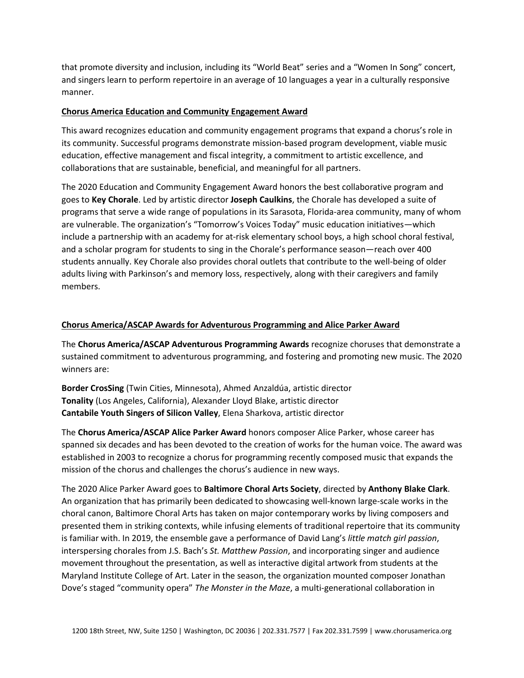that promote diversity and inclusion, including its "World Beat" series and a "Women In Song" concert, and singers learn to perform repertoire in an average of 10 languages a year in a culturally responsive manner.

### **Chorus America Education and Community Engagement Award**

This award recognizes education and community engagement programs that expand a chorus's role in its community. Successful programs demonstrate mission-based program development, viable music education, effective management and fiscal integrity, a commitment to artistic excellence, and collaborations that are sustainable, beneficial, and meaningful for all partners.

The 2020 Education and Community Engagement Award honors the best collaborative program and goes to **Key Chorale**. Led by artistic director **Joseph Caulkins**, the Chorale has developed a suite of programs that serve a wide range of populations in its Sarasota, Florida-area community, many of whom are vulnerable. The organization's "Tomorrow's Voices Today" music education initiatives—which include a partnership with an academy for at-risk elementary school boys, a high school choral festival, and a scholar program for students to sing in the Chorale's performance season—reach over 400 students annually. Key Chorale also provides choral outlets that contribute to the well-being of older adults living with Parkinson's and memory loss, respectively, along with their caregivers and family members.

# **Chorus America/ASCAP Awards for Adventurous Programming and Alice Parker Award**

The **Chorus America/ASCAP Adventurous Programming Awards** recognize choruses that demonstrate a sustained commitment to adventurous programming, and fostering and promoting new music. The 2020 winners are:

**Border CrosSing** (Twin Cities, Minnesota), Ahmed Anzaldúa, artistic director **Tonality** (Los Angeles, California), Alexander Lloyd Blake, artistic director **Cantabile Youth Singers of Silicon Valley**, Elena Sharkova, artistic director

The **Chorus America/ASCAP Alice Parker Award** honors composer Alice Parker, whose career has spanned six decades and has been devoted to the creation of works for the human voice. The award was established in 2003 to recognize a chorus for programming recently composed music that expands the mission of the chorus and challenges the chorus's audience in new ways.

The 2020 Alice Parker Award goes to **Baltimore Choral Arts Society**, directed by **Anthony Blake Clark**. An organization that has primarily been dedicated to showcasing well-known large-scale works in the choral canon, Baltimore Choral Arts has taken on major contemporary works by living composers and presented them in striking contexts, while infusing elements of traditional repertoire that its community is familiar with. In 2019, the ensemble gave a performance of David Lang's *little match girl passion*, interspersing chorales from J.S. Bach's *St. Matthew Passion*, and incorporating singer and audience movement throughout the presentation, as well as interactive digital artwork from students at the Maryland Institute College of Art. Later in the season, the organization mounted composer Jonathan Dove's staged "community opera" *The Monster in the Maze*, a multi-generational collaboration in